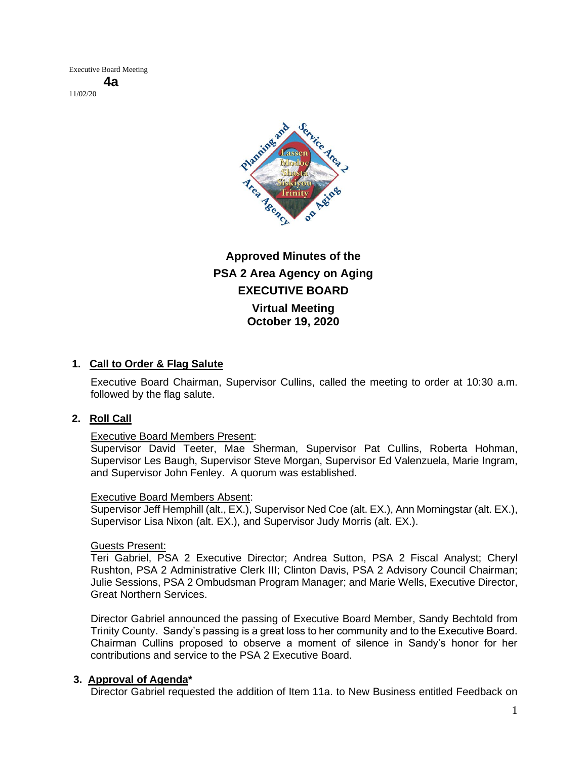Executive Board Meeting **4a** 11/02/20



# **Approved Minutes of the PSA 2 Area Agency on Aging EXECUTIVE BOARD Virtual Meeting October 19, 2020**

# **1. Call to Order & Flag Salute**

Executive Board Chairman, Supervisor Cullins, called the meeting to order at 10:30 a.m. followed by the flag salute.

# **2. Roll Call**

#### Executive Board Members Present:

Supervisor David Teeter, Mae Sherman, Supervisor Pat Cullins, Roberta Hohman, Supervisor Les Baugh, Supervisor Steve Morgan, Supervisor Ed Valenzuela, Marie Ingram, and Supervisor John Fenley. A quorum was established.

#### Executive Board Members Absent:

Supervisor Jeff Hemphill (alt., EX.), Supervisor Ned Coe (alt. EX.), Ann Morningstar (alt. EX.), Supervisor Lisa Nixon (alt. EX.), and Supervisor Judy Morris (alt. EX.).

#### Guests Present:

Teri Gabriel, PSA 2 Executive Director; Andrea Sutton, PSA 2 Fiscal Analyst; Cheryl Rushton, PSA 2 Administrative Clerk III; Clinton Davis, PSA 2 Advisory Council Chairman; Julie Sessions, PSA 2 Ombudsman Program Manager; and Marie Wells, Executive Director, Great Northern Services.

Director Gabriel announced the passing of Executive Board Member, Sandy Bechtold from Trinity County. Sandy's passing is a great loss to her community and to the Executive Board. Chairman Cullins proposed to observe a moment of silence in Sandy's honor for her contributions and service to the PSA 2 Executive Board.

#### **3. Approval of Agenda\***

Director Gabriel requested the addition of Item 11a. to New Business entitled Feedback on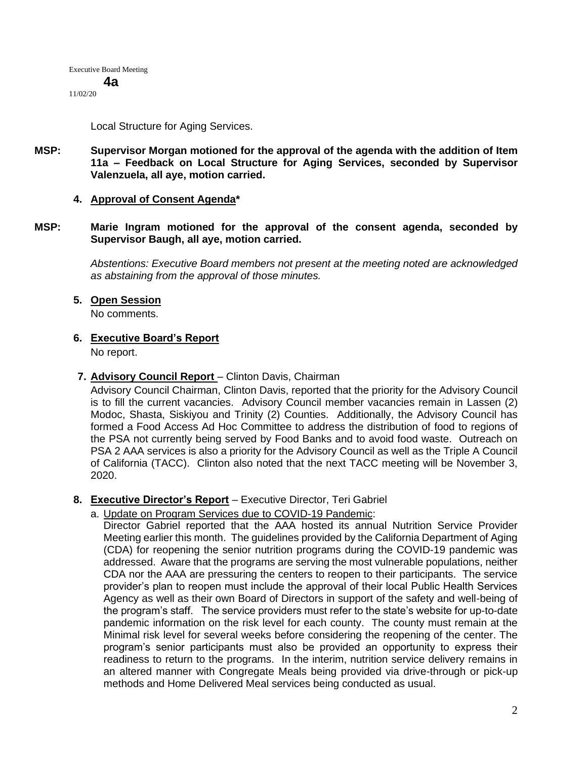11/02/20

Local Structure for Aging Services.

**MSP: Supervisor Morgan motioned for the approval of the agenda with the addition of Item 11a – Feedback on Local Structure for Aging Services, seconded by Supervisor Valenzuela, all aye, motion carried.** 

### **4. Approval of Consent Agenda\***

**MSP: Marie Ingram motioned for the approval of the consent agenda, seconded by Supervisor Baugh, all aye, motion carried.** 

> *Abstentions: Executive Board members not present at the meeting noted are acknowledged as abstaining from the approval of those minutes.*

**5. Open Session**

No comments.

**6. Executive Board's Report**

No report.

**7. Advisory Council Report** – Clinton Davis, Chairman

Advisory Council Chairman, Clinton Davis, reported that the priority for the Advisory Council is to fill the current vacancies. Advisory Council member vacancies remain in Lassen (2) Modoc, Shasta, Siskiyou and Trinity (2) Counties. Additionally, the Advisory Council has formed a Food Access Ad Hoc Committee to address the distribution of food to regions of the PSA not currently being served by Food Banks and to avoid food waste. Outreach on PSA 2 AAA services is also a priority for the Advisory Council as well as the Triple A Council of California (TACC). Clinton also noted that the next TACC meeting will be November 3, 2020.

- **8. Executive Director's Report** Executive Director, Teri Gabriel
	- a. Update on Program Services due to COVID-19 Pandemic:

Director Gabriel reported that the AAA hosted its annual Nutrition Service Provider Meeting earlier this month. The guidelines provided by the California Department of Aging (CDA) for reopening the senior nutrition programs during the COVID-19 pandemic was addressed. Aware that the programs are serving the most vulnerable populations, neither CDA nor the AAA are pressuring the centers to reopen to their participants. The service provider's plan to reopen must include the approval of their local Public Health Services Agency as well as their own Board of Directors in support of the safety and well-being of the program's staff. The service providers must refer to the state's website for up-to-date pandemic information on the risk level for each county. The county must remain at the Minimal risk level for several weeks before considering the reopening of the center. The program's senior participants must also be provided an opportunity to express their readiness to return to the programs. In the interim, nutrition service delivery remains in an altered manner with Congregate Meals being provided via drive-through or pick-up methods and Home Delivered Meal services being conducted as usual.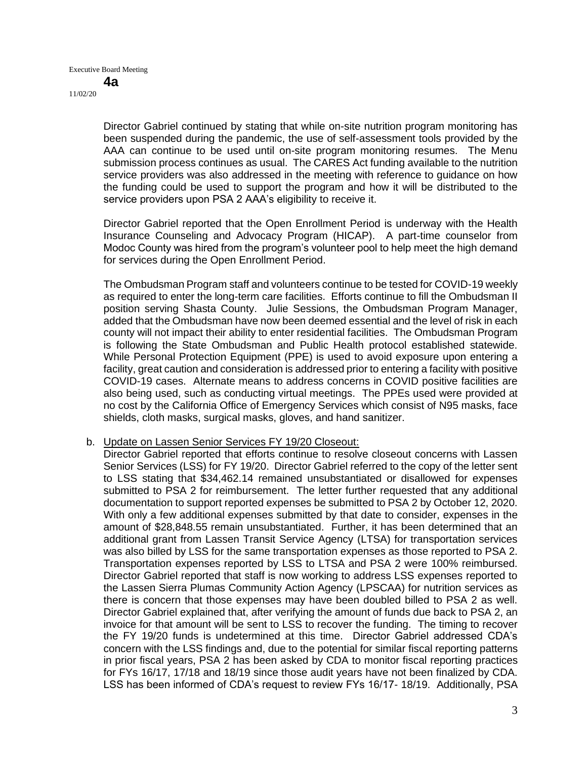Director Gabriel continued by stating that while on-site nutrition program monitoring has been suspended during the pandemic, the use of self-assessment tools provided by the AAA can continue to be used until on-site program monitoring resumes. The Menu submission process continues as usual. The CARES Act funding available to the nutrition service providers was also addressed in the meeting with reference to guidance on how the funding could be used to support the program and how it will be distributed to the service providers upon PSA 2 AAA's eligibility to receive it.

Director Gabriel reported that the Open Enrollment Period is underway with the Health Insurance Counseling and Advocacy Program (HICAP). A part-time counselor from Modoc County was hired from the program's volunteer pool to help meet the high demand for services during the Open Enrollment Period.

The Ombudsman Program staff and volunteers continue to be tested for COVID-19 weekly as required to enter the long-term care facilities. Efforts continue to fill the Ombudsman II position serving Shasta County. Julie Sessions, the Ombudsman Program Manager, added that the Ombudsman have now been deemed essential and the level of risk in each county will not impact their ability to enter residential facilities. The Ombudsman Program is following the State Ombudsman and Public Health protocol established statewide. While Personal Protection Equipment (PPE) is used to avoid exposure upon entering a facility, great caution and consideration is addressed prior to entering a facility with positive COVID-19 cases. Alternate means to address concerns in COVID positive facilities are also being used, such as conducting virtual meetings. The PPEs used were provided at no cost by the California Office of Emergency Services which consist of N95 masks, face shields, cloth masks, surgical masks, gloves, and hand sanitizer.

#### b. Update on Lassen Senior Services FY 19/20 Closeout:

Director Gabriel reported that efforts continue to resolve closeout concerns with Lassen Senior Services (LSS) for FY 19/20. Director Gabriel referred to the copy of the letter sent to LSS stating that \$34,462.14 remained unsubstantiated or disallowed for expenses submitted to PSA 2 for reimbursement. The letter further requested that any additional documentation to support reported expenses be submitted to PSA 2 by October 12, 2020. With only a few additional expenses submitted by that date to consider, expenses in the amount of \$28,848.55 remain unsubstantiated. Further, it has been determined that an additional grant from Lassen Transit Service Agency (LTSA) for transportation services was also billed by LSS for the same transportation expenses as those reported to PSA 2. Transportation expenses reported by LSS to LTSA and PSA 2 were 100% reimbursed. Director Gabriel reported that staff is now working to address LSS expenses reported to the Lassen Sierra Plumas Community Action Agency (LPSCAA) for nutrition services as there is concern that those expenses may have been doubled billed to PSA 2 as well. Director Gabriel explained that, after verifying the amount of funds due back to PSA 2, an invoice for that amount will be sent to LSS to recover the funding. The timing to recover the FY 19/20 funds is undetermined at this time. Director Gabriel addressed CDA's concern with the LSS findings and, due to the potential for similar fiscal reporting patterns in prior fiscal years, PSA 2 has been asked by CDA to monitor fiscal reporting practices for FYs 16/17, 17/18 and 18/19 since those audit years have not been finalized by CDA. LSS has been informed of CDA's request to review FYs 16/17- 18/19. Additionally, PSA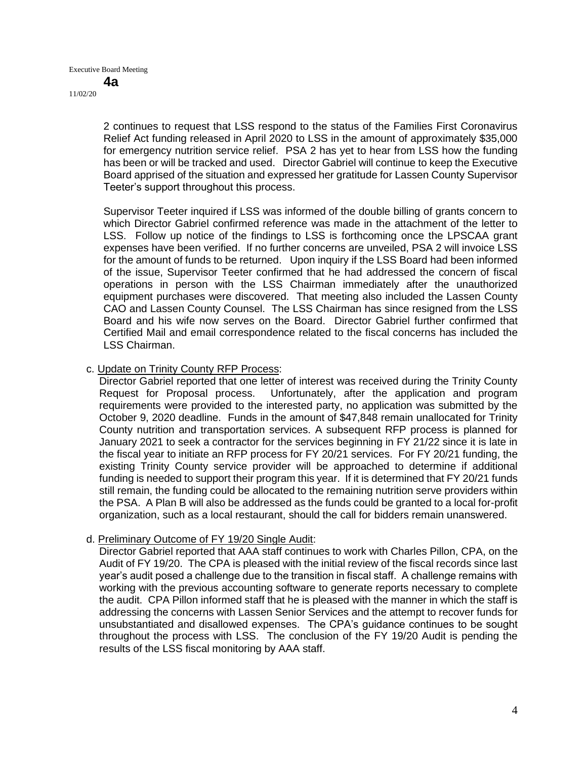2 continues to request that LSS respond to the status of the Families First Coronavirus Relief Act funding released in April 2020 to LSS in the amount of approximately \$35,000 for emergency nutrition service relief. PSA 2 has yet to hear from LSS how the funding has been or will be tracked and used. Director Gabriel will continue to keep the Executive Board apprised of the situation and expressed her gratitude for Lassen County Supervisor Teeter's support throughout this process.

Supervisor Teeter inquired if LSS was informed of the double billing of grants concern to which Director Gabriel confirmed reference was made in the attachment of the letter to LSS. Follow up notice of the findings to LSS is forthcoming once the LPSCAA grant expenses have been verified. If no further concerns are unveiled, PSA 2 will invoice LSS for the amount of funds to be returned. Upon inquiry if the LSS Board had been informed of the issue, Supervisor Teeter confirmed that he had addressed the concern of fiscal operations in person with the LSS Chairman immediately after the unauthorized equipment purchases were discovered. That meeting also included the Lassen County CAO and Lassen County Counsel. The LSS Chairman has since resigned from the LSS Board and his wife now serves on the Board. Director Gabriel further confirmed that Certified Mail and email correspondence related to the fiscal concerns has included the LSS Chairman.

### c. Update on Trinity County RFP Process:

Director Gabriel reported that one letter of interest was received during the Trinity County Request for Proposal process. Unfortunately, after the application and program requirements were provided to the interested party, no application was submitted by the October 9, 2020 deadline. Funds in the amount of \$47,848 remain unallocated for Trinity County nutrition and transportation services. A subsequent RFP process is planned for January 2021 to seek a contractor for the services beginning in FY 21/22 since it is late in the fiscal year to initiate an RFP process for FY 20/21 services. For FY 20/21 funding, the existing Trinity County service provider will be approached to determine if additional funding is needed to support their program this year. If it is determined that FY 20/21 funds still remain, the funding could be allocated to the remaining nutrition serve providers within the PSA. A Plan B will also be addressed as the funds could be granted to a local for-profit organization, such as a local restaurant, should the call for bidders remain unanswered.

# d. Preliminary Outcome of FY 19/20 Single Audit:

Director Gabriel reported that AAA staff continues to work with Charles Pillon, CPA, on the Audit of FY 19/20. The CPA is pleased with the initial review of the fiscal records since last year's audit posed a challenge due to the transition in fiscal staff. A challenge remains with working with the previous accounting software to generate reports necessary to complete the audit. CPA Pillon informed staff that he is pleased with the manner in which the staff is addressing the concerns with Lassen Senior Services and the attempt to recover funds for unsubstantiated and disallowed expenses. The CPA's guidance continues to be sought throughout the process with LSS. The conclusion of the FY 19/20 Audit is pending the results of the LSS fiscal monitoring by AAA staff.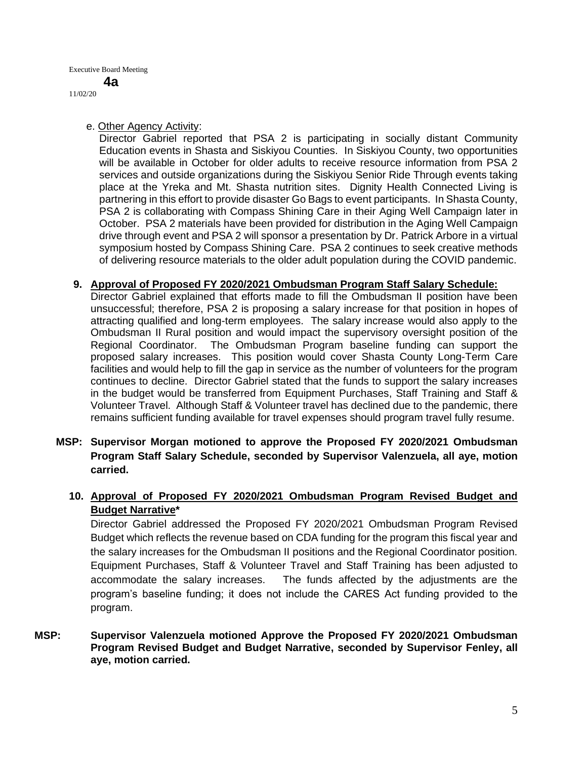**4a**

11/02/20

e. Other Agency Activity:

Director Gabriel reported that PSA 2 is participating in socially distant Community Education events in Shasta and Siskiyou Counties. In Siskiyou County, two opportunities will be available in October for older adults to receive resource information from PSA 2 services and outside organizations during the Siskiyou Senior Ride Through events taking place at the Yreka and Mt. Shasta nutrition sites. Dignity Health Connected Living is partnering in this effort to provide disaster Go Bags to event participants. In Shasta County, PSA 2 is collaborating with Compass Shining Care in their Aging Well Campaign later in October. PSA 2 materials have been provided for distribution in the Aging Well Campaign drive through event and PSA 2 will sponsor a presentation by Dr. Patrick Arbore in a virtual symposium hosted by Compass Shining Care. PSA 2 continues to seek creative methods of delivering resource materials to the older adult population during the COVID pandemic.

### **9. Approval of Proposed FY 2020/2021 Ombudsman Program Staff Salary Schedule:**

Director Gabriel explained that efforts made to fill the Ombudsman II position have been unsuccessful; therefore, PSA 2 is proposing a salary increase for that position in hopes of attracting qualified and long-term employees. The salary increase would also apply to the Ombudsman II Rural position and would impact the supervisory oversight position of the Regional Coordinator. The Ombudsman Program baseline funding can support the proposed salary increases. This position would cover Shasta County Long-Term Care facilities and would help to fill the gap in service as the number of volunteers for the program continues to decline. Director Gabriel stated that the funds to support the salary increases in the budget would be transferred from Equipment Purchases, Staff Training and Staff & Volunteer Travel. Although Staff & Volunteer travel has declined due to the pandemic, there remains sufficient funding available for travel expenses should program travel fully resume.

**MSP: Supervisor Morgan motioned to approve the Proposed FY 2020/2021 Ombudsman Program Staff Salary Schedule, seconded by Supervisor Valenzuela, all aye, motion carried.** 

# **10. Approval of Proposed FY 2020/2021 Ombudsman Program Revised Budget and Budget Narrative\***

Director Gabriel addressed the Proposed FY 2020/2021 Ombudsman Program Revised Budget which reflects the revenue based on CDA funding for the program this fiscal year and the salary increases for the Ombudsman II positions and the Regional Coordinator position. Equipment Purchases, Staff & Volunteer Travel and Staff Training has been adjusted to accommodate the salary increases. The funds affected by the adjustments are the program's baseline funding; it does not include the CARES Act funding provided to the program.

# **MSP: Supervisor Valenzuela motioned Approve the Proposed FY 2020/2021 Ombudsman Program Revised Budget and Budget Narrative, seconded by Supervisor Fenley, all aye, motion carried.**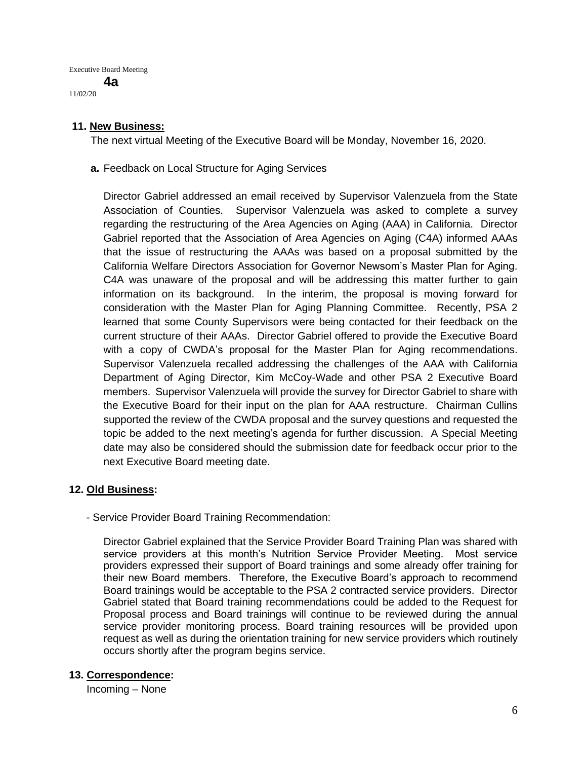Executive Board Meeting **4a**

11/02/20

## **11. New Business:**

The next virtual Meeting of the Executive Board will be Monday, November 16, 2020.

**a.** Feedback on Local Structure for Aging Services

Director Gabriel addressed an email received by Supervisor Valenzuela from the State Association of Counties. Supervisor Valenzuela was asked to complete a survey regarding the restructuring of the Area Agencies on Aging (AAA) in California. Director Gabriel reported that the Association of Area Agencies on Aging (C4A) informed AAAs that the issue of restructuring the AAAs was based on a proposal submitted by the California Welfare Directors Association for Governor Newsom's Master Plan for Aging. C4A was unaware of the proposal and will be addressing this matter further to gain information on its background. In the interim, the proposal is moving forward for consideration with the Master Plan for Aging Planning Committee. Recently, PSA 2 learned that some County Supervisors were being contacted for their feedback on the current structure of their AAAs. Director Gabriel offered to provide the Executive Board with a copy of CWDA's proposal for the Master Plan for Aging recommendations. Supervisor Valenzuela recalled addressing the challenges of the AAA with California Department of Aging Director, Kim McCoy-Wade and other PSA 2 Executive Board members. Supervisor Valenzuela will provide the survey for Director Gabriel to share with the Executive Board for their input on the plan for AAA restructure. Chairman Cullins supported the review of the CWDA proposal and the survey questions and requested the topic be added to the next meeting's agenda for further discussion. A Special Meeting date may also be considered should the submission date for feedback occur prior to the next Executive Board meeting date.

#### **12. Old Business:**

- Service Provider Board Training Recommendation:

Director Gabriel explained that the Service Provider Board Training Plan was shared with service providers at this month's Nutrition Service Provider Meeting. Most service providers expressed their support of Board trainings and some already offer training for their new Board members. Therefore, the Executive Board's approach to recommend Board trainings would be acceptable to the PSA 2 contracted service providers. Director Gabriel stated that Board training recommendations could be added to the Request for Proposal process and Board trainings will continue to be reviewed during the annual service provider monitoring process. Board training resources will be provided upon request as well as during the orientation training for new service providers which routinely occurs shortly after the program begins service.

# **13. Correspondence:**

Incoming – None